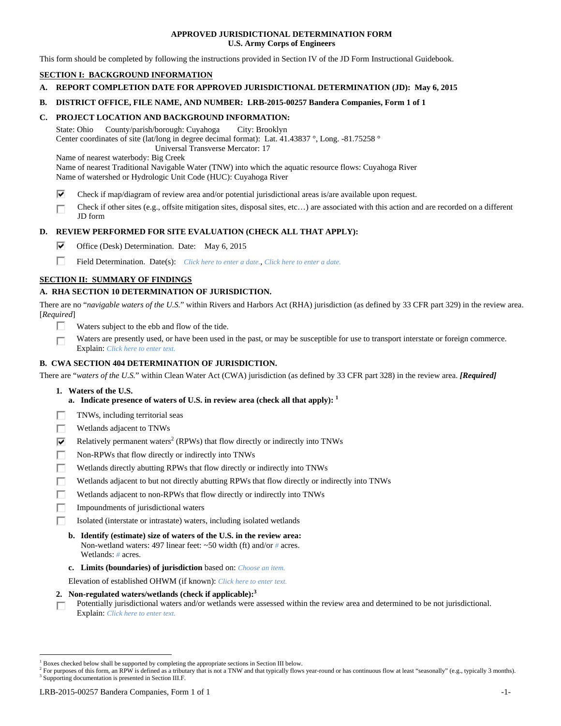### **APPROVED JURISDICTIONAL DETERMINATION FORM U.S. Army Corps of Engineers**

This form should be completed by following the instructions provided in Section IV of the JD Form Instructional Guidebook.

# **SECTION I: BACKGROUND INFORMATION**

- **A. REPORT COMPLETION DATE FOR APPROVED JURISDICTIONAL DETERMINATION (JD): May 6, 2015**
- **B. DISTRICT OFFICE, FILE NAME, AND NUMBER: LRB-2015-00257 Bandera Companies, Form 1 of 1**

### **C. PROJECT LOCATION AND BACKGROUND INFORMATION:**

State: Ohio County/parish/borough: Cuyahoga City: Brooklyn Center coordinates of site (lat/long in degree decimal format): Lat. 41.43837 °, Long. -81.75258 ° Universal Transverse Mercator: 17

Name of nearest waterbody: Big Creek

Name of nearest Traditional Navigable Water (TNW) into which the aquatic resource flows: Cuyahoga River Name of watershed or Hydrologic Unit Code (HUC): Cuyahoga River

- ⊽ Check if map/diagram of review area and/or potential jurisdictional areas is/are available upon request.
- Check if other sites (e.g., offsite mitigation sites, disposal sites, etc…) are associated with this action and are recorded on a different г JD form

### **D. REVIEW PERFORMED FOR SITE EVALUATION (CHECK ALL THAT APPLY):**

- ⊽ Office (Desk) Determination. Date: May 6, 2015
- П Field Determination. Date(s): *Click here to enter a date.*, *Click here to enter a date.*

## **SECTION II: SUMMARY OF FINDINGS**

## **A. RHA SECTION 10 DETERMINATION OF JURISDICTION.**

There are no "*navigable waters of the U.S.*" within Rivers and Harbors Act (RHA) jurisdiction (as defined by 33 CFR part 329) in the review area. [*Required*]

- п. Waters subject to the ebb and flow of the tide.
- Waters are presently used, or have been used in the past, or may be susceptible for use to transport interstate or foreign commerce. г Explain: *Click here to enter text.*

### **B. CWA SECTION 404 DETERMINATION OF JURISDICTION.**

There are "*waters of the U.S.*" within Clean Water Act (CWA) jurisdiction (as defined by 33 CFR part 328) in the review area. *[Required]*

- **1. Waters of the U.S.** 
	- **a.** Indicate presence of waters of U.S. in review area (check all that apply):  $<sup>1</sup>$ </sup>
- Е TNWs, including territorial seas
- п Wetlands adjacent to TNWs
- ☑ Relatively permanent waters<sup>2</sup> (RPWs) that flow directly or indirectly into TNWs
- г Non-RPWs that flow directly or indirectly into TNWs
- п Wetlands directly abutting RPWs that flow directly or indirectly into TNWs
- Wetlands adjacent to but not directly abutting RPWs that flow directly or indirectly into TNWs Е
- Wetlands adjacent to non-RPWs that flow directly or indirectly into TNWs г
- г Impoundments of jurisdictional waters
- Isolated (interstate or intrastate) waters, including isolated wetlands п
	- **b. Identify (estimate) size of waters of the U.S. in the review area:**  Non-wetland waters: 497 linear feet: ~50 width (ft) and/or *#* acres. Wetlands: *#* acres.
	- **c. Limits (boundaries) of jurisdiction** based on: *Choose an item.*

Elevation of established OHWM (if known): *Click here to enter text.*

- **2. Non-regulated waters/wetlands (check if applicable):3**
- Potentially jurisdictional waters and/or wetlands were assessed within the review area and determined to be not jurisdictional. п Explain: *Click here to enter text.*

<sup>&</sup>lt;sup>1</sup> Boxes checked below shall be supported by completing the appropriate sections in Section III below.

<sup>&</sup>lt;sup>2</sup> For purposes of this form, an RPW is defined as a tributary that is not a TNW and that typically flows year-round or has continuous flow at least "seasonally" (e.g., typically 3 months). <sup>3</sup> Supporting documentation is presented in Section III.F.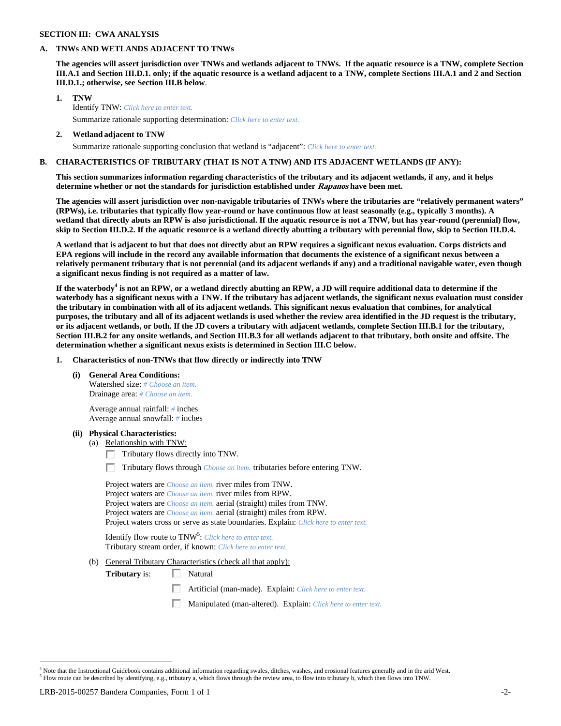## **SECTION III: CWA ANALYSIS**

### **A. TNWs AND WETLANDS ADJACENT TO TNWs**

**The agencies will assert jurisdiction over TNWs and wetlands adjacent to TNWs. If the aquatic resource is a TNW, complete Section III.A.1 and Section III.D.1. only; if the aquatic resource is a wetland adjacent to a TNW, complete Sections III.A.1 and 2 and Section III.D.1.; otherwise, see Section III.B below**.

- **1. TNW**  Identify TNW: *Click here to enter text.*
	- Summarize rationale supporting determination: *Click here to enter text.*
- **2. Wetland adjacent to TNW**  Summarize rationale supporting conclusion that wetland is "adjacent": *Click here to enter text.*

### **B. CHARACTERISTICS OF TRIBUTARY (THAT IS NOT A TNW) AND ITS ADJACENT WETLANDS (IF ANY):**

**This section summarizes information regarding characteristics of the tributary and its adjacent wetlands, if any, and it helps determine whether or not the standards for jurisdiction established under Rapanos have been met.** 

**The agencies will assert jurisdiction over non-navigable tributaries of TNWs where the tributaries are "relatively permanent waters" (RPWs), i.e. tributaries that typically flow year-round or have continuous flow at least seasonally (e.g., typically 3 months). A wetland that directly abuts an RPW is also jurisdictional. If the aquatic resource is not a TNW, but has year-round (perennial) flow, skip to Section III.D.2. If the aquatic resource is a wetland directly abutting a tributary with perennial flow, skip to Section III.D.4.** 

**A wetland that is adjacent to but that does not directly abut an RPW requires a significant nexus evaluation. Corps districts and EPA regions will include in the record any available information that documents the existence of a significant nexus between a relatively permanent tributary that is not perennial (and its adjacent wetlands if any) and a traditional navigable water, even though a significant nexus finding is not required as a matter of law.** 

If the waterbody<sup>4</sup> is not an RPW, or a wetland directly abutting an RPW, a JD will require additional data to determine if the **waterbody has a significant nexus with a TNW. If the tributary has adjacent wetlands, the significant nexus evaluation must consider the tributary in combination with all of its adjacent wetlands. This significant nexus evaluation that combines, for analytical purposes, the tributary and all of its adjacent wetlands is used whether the review area identified in the JD request is the tributary, or its adjacent wetlands, or both. If the JD covers a tributary with adjacent wetlands, complete Section III.B.1 for the tributary, Section III.B.2 for any onsite wetlands, and Section III.B.3 for all wetlands adjacent to that tributary, both onsite and offsite. The determination whether a significant nexus exists is determined in Section III.C below.** 

 **1. Characteristics of non-TNWs that flow directly or indirectly into TNW** 

 **(i) General Area Conditions:** 

 Watershed size: *# Choose an item.* Drainage area: *# Choose an item.*

 Average annual rainfall: *#* inches Average annual snowfall: *#* inches

#### **(ii) Physical Characteristics:**

- (a) Relationship with TNW:
	- $\Box$  Tributary flows directly into TNW.

п Tributary flows through *Choose an item.* tributaries before entering TNW.

 Project waters are *Choose an item.* river miles from TNW. Project waters are *Choose an item.* river miles from RPW. Project waters are *Choose an item.* aerial (straight) miles from TNW. Project waters are *Choose an item.* aerial (straight) miles from RPW. Project waters cross or serve as state boundaries. Explain: *Click here to enter text.*

Identify flow route to TNW<sup>5</sup>: *Click here to enter text.* Tributary stream order, if known: *Click here to enter text.*

(b) General Tributary Characteristics (check all that apply):

**Tributary** is:  $\Box$  Natural

口 Artificial (man-made). Explain: *Click here to enter text.*

Manipulated (man-altered). Explain: *Click here to enter text.*

<sup>&</sup>lt;sup>4</sup> Note that the Instructional Guidebook contains additional information regarding swales, ditches, washes, and erosional features generally and in the arid West.  $<sup>5</sup>$  Flow route can be described by identifying, e.g., tributary a, which flows through the review area, to flow into tributary b, which then flows into TNW.</sup>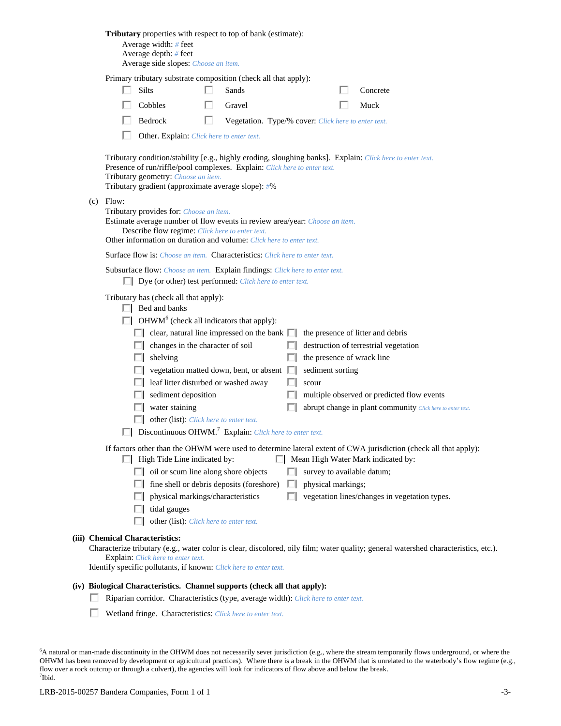| Tributary properties with respect to top of bank (estimate):<br>Average width: # feet<br>Average depth: # feet<br>Average side slopes: Choose an item.                                                                                                                                                                                                                                                                                                                                                                                                                                                                                                                                                                                                                                                                                                         |
|----------------------------------------------------------------------------------------------------------------------------------------------------------------------------------------------------------------------------------------------------------------------------------------------------------------------------------------------------------------------------------------------------------------------------------------------------------------------------------------------------------------------------------------------------------------------------------------------------------------------------------------------------------------------------------------------------------------------------------------------------------------------------------------------------------------------------------------------------------------|
| Primary tributary substrate composition (check all that apply):                                                                                                                                                                                                                                                                                                                                                                                                                                                                                                                                                                                                                                                                                                                                                                                                |
| <b>Silts</b><br>Sands<br>Concrete                                                                                                                                                                                                                                                                                                                                                                                                                                                                                                                                                                                                                                                                                                                                                                                                                              |
| Cobbles<br>Gravel<br>Muck                                                                                                                                                                                                                                                                                                                                                                                                                                                                                                                                                                                                                                                                                                                                                                                                                                      |
| Bedrock<br>Vegetation. Type/% cover: Click here to enter text.                                                                                                                                                                                                                                                                                                                                                                                                                                                                                                                                                                                                                                                                                                                                                                                                 |
| Other. Explain: Click here to enter text.                                                                                                                                                                                                                                                                                                                                                                                                                                                                                                                                                                                                                                                                                                                                                                                                                      |
| Tributary condition/stability [e.g., highly eroding, sloughing banks]. Explain: Click here to enter text.<br>Presence of run/riffle/pool complexes. Explain: Click here to enter text.<br>Tributary geometry: Choose an item.<br>Tributary gradient (approximate average slope): #%                                                                                                                                                                                                                                                                                                                                                                                                                                                                                                                                                                            |
| $(c)$ Flow:<br>Tributary provides for: Choose an item.<br>Estimate average number of flow events in review area/year: Choose an item.<br>Describe flow regime: Click here to enter text.<br>Other information on duration and volume: Click here to enter text.                                                                                                                                                                                                                                                                                                                                                                                                                                                                                                                                                                                                |
| <b>Surface flow is:</b> <i>Choose an item.</i> <b>Characteristics:</b> <i>Click here to enter text.</i>                                                                                                                                                                                                                                                                                                                                                                                                                                                                                                                                                                                                                                                                                                                                                        |
| Subsurface flow: Choose an item. Explain findings: Click here to enter text.<br>$\Box$ Dye (or other) test performed: <i>Click here to enter text.</i>                                                                                                                                                                                                                                                                                                                                                                                                                                                                                                                                                                                                                                                                                                         |
| Tributary has (check all that apply):<br>$\Box$ Bed and banks<br>$\Box$ OHWM <sup>6</sup> (check all indicators that apply):<br>clear, natural line impressed on the bank $\Box$<br>the presence of litter and debris<br>changes in the character of soil<br>destruction of terrestrial vegetation<br>the presence of wrack line<br>shelving<br>sediment sorting<br>vegetation matted down, bent, or absent $\Box$<br>leaf litter disturbed or washed away<br>scour<br>sediment deposition<br>multiple observed or predicted flow events<br>water staining<br>abrupt change in plant community Click here to enter text.<br>other (list): Click here to enter text.<br>Discontinuous OHWM. <sup>7</sup> Explain: Click here to enter text.<br>If factors other than the OHWM were used to determine lateral extent of CWA jurisdiction (check all that apply): |
| $\Box$ High Tide Line indicated by:<br>Mean High Water Mark indicated by:<br>$\Box$ oil or scum line along shore objects<br>survey to available datum;<br>fine shell or debris deposits (foreshore)<br>physical markings;<br>. .<br>physical markings/characteristics<br>vegetation lines/changes in vegetation types.<br>tidal gauges<br>other (list): Click here to enter text.                                                                                                                                                                                                                                                                                                                                                                                                                                                                              |
| (iii) Chemical Characteristics:<br>Characterize tributary (e.g., water color is clear, discolored, oily film; water quality; general watershed characteristics, etc.).<br><b>Explain:</b> Click here to enter text.<br>Identify specific pollutants, if known: Click here to enter text.                                                                                                                                                                                                                                                                                                                                                                                                                                                                                                                                                                       |
| (iv) Biological Characteristics. Channel supports (check all that apply):                                                                                                                                                                                                                                                                                                                                                                                                                                                                                                                                                                                                                                                                                                                                                                                      |
| Riparian corridor. Characteristics (type, average width): Click here to enter text.                                                                                                                                                                                                                                                                                                                                                                                                                                                                                                                                                                                                                                                                                                                                                                            |

Wetland fringe. Characteristics: *Click here to enter text.*

<sup>&</sup>lt;sup>6</sup> A natural or man-made discontinuity in the OHWM does not necessarily sever jurisdiction (e.g., where the stream temporarily flows underground, or where the OHWM has been removed by development or agricultural practices). Where there is a break in the OHWM that is unrelated to the waterbody's flow regime (e.g., flow over a rock outcrop or through a culvert), the agencies will look for indicators of flow above and below the break. 7 Ibid.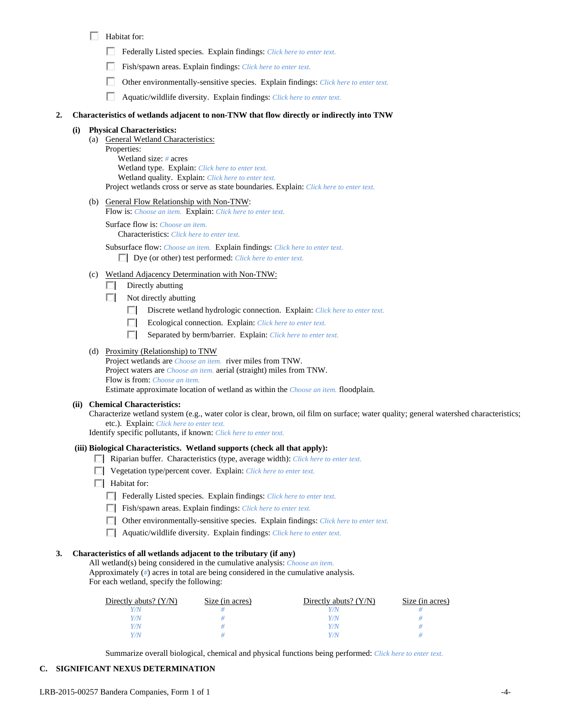## $\Box$  Habitat for:

- Federally Listed species. Explain findings: *Click here to enter text*.
- Fish/spawn areas. Explain findings: *Click here to enter text.*
- п. Other environmentally-sensitive species. Explain findings: *Click here to enter text.*
- П Aquatic/wildlife diversity. Explain findings: *Click here to enter text.*

#### **2. Characteristics of wetlands adjacent to non-TNW that flow directly or indirectly into TNW**

### **Physical Characteristics:**

- (a) General Wetland Characteristics:
	- Properties:

 Wetland size: *#* acres Wetland type. Explain: *Click here to enter text.* Wetland quality. Explain: *Click here to enter text.* Project wetlands cross or serve as state boundaries. Explain: *Click here to enter text.*

(b) General Flow Relationship with Non-TNW:

Flow is: *Choose an item.* Explain: *Click here to enter text.*

 Surface flow is: *Choose an item.* Characteristics: *Click here to enter text.*

 Subsurface flow: *Choose an item.* Explain findings: *Click here to enter text.* Dye (or other) test performed: *Click here to enter text.*

- (c) Wetland Adjacency Determination with Non-TNW:
	- $\Box$  Directly abutting
	- $\Box$  Not directly abutting
		- Discrete wetland hydrologic connection. Explain: *Click here to enter text*.
		- Ecological connection. Explain: *Click here to enter text.* П.
		- п. Separated by berm/barrier. Explain: *Click here to enter text.*

### (d) Proximity (Relationship) to TNW

Project wetlands are *Choose an item.* river miles from TNW. Project waters are *Choose an item.* aerial (straight) miles from TNW. Flow is from: *Choose an item.* Estimate approximate location of wetland as within the *Choose an item.* floodplain.

#### **(ii) Chemical Characteristics:**

Characterize wetland system (e.g., water color is clear, brown, oil film on surface; water quality; general watershed characteristics; etc.). Explain: *Click here to enter text.*

Identify specific pollutants, if known: *Click here to enter text.*

#### **(iii) Biological Characteristics. Wetland supports (check all that apply):**

- Riparian buffer. Characteristics (type, average width): *Click here to enter text.*
- Vegetation type/percent cover. Explain: *Click here to enter text.*
- $\Box$  Habitat for:
	- Federally Listed species. Explain findings: *Click here to enter text*.
	- Fish/spawn areas. Explain findings: *Click here to enter text*.
	- Other environmentally-sensitive species. Explain findings: *Click here to enter text.*
	- Aquatic/wildlife diversity. Explain findings: *Click here to enter text.*

#### **3. Characteristics of all wetlands adjacent to the tributary (if any)**

 All wetland(s) being considered in the cumulative analysis: *Choose an item.* Approximately (*#*) acres in total are being considered in the cumulative analysis. For each wetland, specify the following:

| Directly abuts? $(Y/N)$ | Size (in acres) | Directly abuts? $(Y/N)$ | Size (in acres) |
|-------------------------|-----------------|-------------------------|-----------------|
|                         |                 |                         |                 |
| Y/N                     |                 |                         |                 |
| $^{\prime}$ /N          |                 |                         |                 |
| Y/N.                    |                 |                         |                 |

Summarize overall biological, chemical and physical functions being performed: *Click here to enter text.*

### **C. SIGNIFICANT NEXUS DETERMINATION**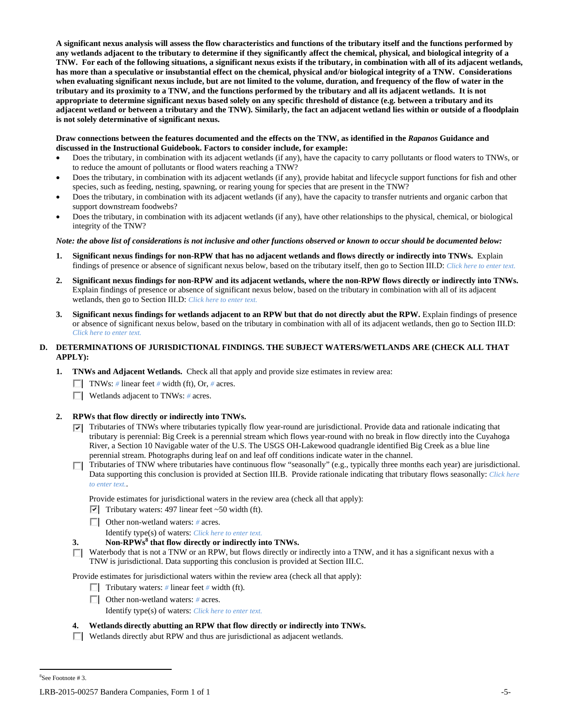**A significant nexus analysis will assess the flow characteristics and functions of the tributary itself and the functions performed by any wetlands adjacent to the tributary to determine if they significantly affect the chemical, physical, and biological integrity of a TNW. For each of the following situations, a significant nexus exists if the tributary, in combination with all of its adjacent wetlands, has more than a speculative or insubstantial effect on the chemical, physical and/or biological integrity of a TNW. Considerations when evaluating significant nexus include, but are not limited to the volume, duration, and frequency of the flow of water in the tributary and its proximity to a TNW, and the functions performed by the tributary and all its adjacent wetlands. It is not appropriate to determine significant nexus based solely on any specific threshold of distance (e.g. between a tributary and its adjacent wetland or between a tributary and the TNW). Similarly, the fact an adjacent wetland lies within or outside of a floodplain is not solely determinative of significant nexus.** 

#### **Draw connections between the features documented and the effects on the TNW, as identified in the** *Rapanos* **Guidance and discussed in the Instructional Guidebook. Factors to consider include, for example:**

- Does the tributary, in combination with its adjacent wetlands (if any), have the capacity to carry pollutants or flood waters to TNWs, or to reduce the amount of pollutants or flood waters reaching a TNW?
- Does the tributary, in combination with its adjacent wetlands (if any), provide habitat and lifecycle support functions for fish and other species, such as feeding, nesting, spawning, or rearing young for species that are present in the TNW?
- Does the tributary, in combination with its adjacent wetlands (if any), have the capacity to transfer nutrients and organic carbon that support downstream foodwebs?
- Does the tributary, in combination with its adjacent wetlands (if any), have other relationships to the physical, chemical, or biological integrity of the TNW?

*Note: the above list of considerations is not inclusive and other functions observed or known to occur should be documented below:* 

- **1. Significant nexus findings for non-RPW that has no adjacent wetlands and flows directly or indirectly into TNWs.** Explain findings of presence or absence of significant nexus below, based on the tributary itself, then go to Section III.D: *Click here to enter text.*
- **2. Significant nexus findings for non-RPW and its adjacent wetlands, where the non-RPW flows directly or indirectly into TNWs.**  Explain findings of presence or absence of significant nexus below, based on the tributary in combination with all of its adjacent wetlands, then go to Section III.D: *Click here to enter text.*
- **3. Significant nexus findings for wetlands adjacent to an RPW but that do not directly abut the RPW.** Explain findings of presence or absence of significant nexus below, based on the tributary in combination with all of its adjacent wetlands, then go to Section III.D: *Click here to enter text.*

## **D. DETERMINATIONS OF JURISDICTIONAL FINDINGS. THE SUBJECT WATERS/WETLANDS ARE (CHECK ALL THAT APPLY):**

- **1. TNWs and Adjacent Wetlands.** Check all that apply and provide size estimates in review area:
	- TNWs: *#* linear feet *#* width (ft), Or, *#* acres.
	- Wetlands adjacent to TNWs: *#* acres.

## **2. RPWs that flow directly or indirectly into TNWs.**

- $\nabla$  Tributaries of TNWs where tributaries typically flow year-round are jurisdictional. Provide data and rationale indicating that tributary is perennial: Big Creek is a perennial stream which flows year-round with no break in flow directly into the Cuyahoga River, a Section 10 Navigable water of the U.S. The USGS OH-Lakewood quadrangle identified Big Creek as a blue line perennial stream. Photographs during leaf on and leaf off conditions indicate water in the channel.
- Tributaries of TNW where tributaries have continuous flow "seasonally" (e.g., typically three months each year) are jurisdictional. Data supporting this conclusion is provided at Section III.B. Provide rationale indicating that tributary flows seasonally: *Click here to enter text.*.

Provide estimates for jurisdictional waters in the review area (check all that apply):

- $\triangledown$  Tributary waters: 497 linear feet ~50 width (ft).
- Other non-wetland waters: *#* acres.

Identify type(s) of waters: *Click here to enter text.*

### **3. Non-RPWs<sup>8</sup> that flow directly or indirectly into TNWs.**

Waterbody that is not a TNW or an RPW, but flows directly or indirectly into a TNW, and it has a significant nexus with a ПL. TNW is jurisdictional. Data supporting this conclusion is provided at Section III.C.

Provide estimates for jurisdictional waters within the review area (check all that apply):

- **Tributary waters:** # linear feet # width (ft).
- Other non-wetland waters: *#* acres.

Identify type(s) of waters: *Click here to enter text.*

## **4. Wetlands directly abutting an RPW that flow directly or indirectly into TNWs.**

 $\Box$  Wetlands directly abut RPW and thus are jurisdictional as adjacent wetlands.

8 See Footnote # 3.

LRB-2015-00257 Bandera Companies, Form 1 of 1  $-5$ -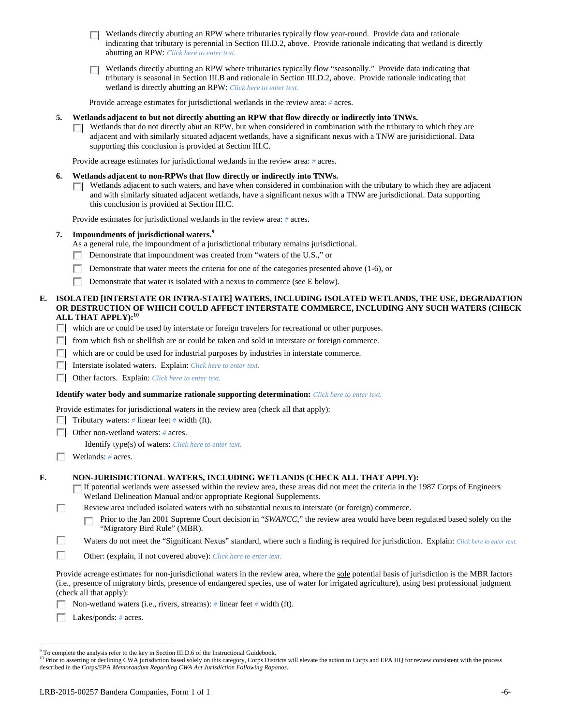- $\Box$  Wetlands directly abutting an RPW where tributaries typically flow year-round. Provide data and rationale indicating that tributary is perennial in Section III.D.2, above. Provide rationale indicating that wetland is directly abutting an RPW: *Click here to enter text.*
- Wetlands directly abutting an RPW where tributaries typically flow "seasonally." Provide data indicating that tributary is seasonal in Section III.B and rationale in Section III.D.2, above. Provide rationale indicating that wetland is directly abutting an RPW: *Click here to enter text.*

Provide acreage estimates for jurisdictional wetlands in the review area: *#* acres.

#### **5. Wetlands adjacent to but not directly abutting an RPW that flow directly or indirectly into TNWs.**

 $\Box$  Wetlands that do not directly abut an RPW, but when considered in combination with the tributary to which they are adjacent and with similarly situated adjacent wetlands, have a significant nexus with a TNW are jurisidictional. Data supporting this conclusion is provided at Section III.C.

Provide acreage estimates for jurisdictional wetlands in the review area: *#* acres.

#### **6. Wetlands adjacent to non-RPWs that flow directly or indirectly into TNWs.**

 $\Box$  Wetlands adjacent to such waters, and have when considered in combination with the tributary to which they are adjacent and with similarly situated adjacent wetlands, have a significant nexus with a TNW are jurisdictional. Data supporting this conclusion is provided at Section III.C.

Provide estimates for jurisdictional wetlands in the review area: *#* acres.

#### **7. Impoundments of jurisdictional waters.9**

As a general rule, the impoundment of a jurisdictional tributary remains jurisdictional.

- П. Demonstrate that impoundment was created from "waters of the U.S.," or
- П Demonstrate that water meets the criteria for one of the categories presented above (1-6), or
- П. Demonstrate that water is isolated with a nexus to commerce (see E below).

#### **E. ISOLATED [INTERSTATE OR INTRA-STATE] WATERS, INCLUDING ISOLATED WETLANDS, THE USE, DEGRADATION OR DESTRUCTION OF WHICH COULD AFFECT INTERSTATE COMMERCE, INCLUDING ANY SUCH WATERS (CHECK ALL THAT APPLY):<sup>10</sup>**

- which are or could be used by interstate or foreign travelers for recreational or other purposes.
- $\Box$  from which fish or shellfish are or could be taken and sold in interstate or foreign commerce.
- $\Box$  which are or could be used for industrial purposes by industries in interstate commerce.
- Interstate isolated waters.Explain: *Click here to enter text.*
- Other factors.Explain: *Click here to enter text.*

#### **Identify water body and summarize rationale supporting determination:** *Click here to enter text.*

Provide estimates for jurisdictional waters in the review area (check all that apply):

**Tributary waters:** # linear feet # width (ft).

Other non-wetland waters: *#* acres.

Identify type(s) of waters: *Click here to enter text.*

Wetlands: *#* acres.

### **F. NON-JURISDICTIONAL WATERS, INCLUDING WETLANDS (CHECK ALL THAT APPLY):**

- If potential wetlands were assessed within the review area, these areas did not meet the criteria in the 1987 Corps of Engineers Wetland Delineation Manual and/or appropriate Regional Supplements.
- П Review area included isolated waters with no substantial nexus to interstate (or foreign) commerce.

Prior to the Jan 2001 Supreme Court decision in "*SWANCC*," the review area would have been regulated based solely on the п "Migratory Bird Rule" (MBR).

- П Waters do not meet the "Significant Nexus" standard, where such a finding is required for jurisdiction. Explain: *Click here to enter text.*
- П Other: (explain, if not covered above): *Click here to enter text.*

Provide acreage estimates for non-jurisdictional waters in the review area, where the sole potential basis of jurisdiction is the MBR factors (i.e., presence of migratory birds, presence of endangered species, use of water for irrigated agriculture), using best professional judgment (check all that apply):

п Non-wetland waters (i.e., rivers, streams): *#* linear feet *#* width (ft).

Lakes/ponds: *#* acres. п

<sup>&</sup>lt;sup>9</sup> To complete the analysis refer to the key in Section III.D.6 of the Instructional Guidebook.

<sup>&</sup>lt;sup>10</sup> Prior to asserting or declining CWA jurisdiction based solely on this category, Corps Districts will elevate the action to Corps and EPA HQ for review consistent with the process described in the Corps/EPA *Memorandum Regarding CWA Act Jurisdiction Following Rapanos.*